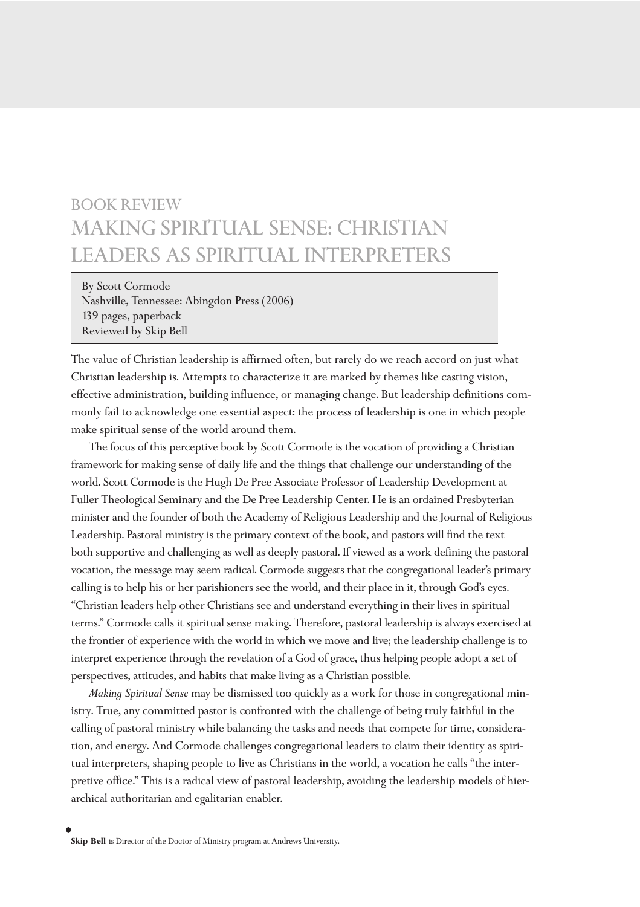## BOOK REVIEW MAKING SPIRITUAL SENSE: CHRISTIAN LEADERS AS SPIRITUAL INTERPRETERS

By Scott Cormode Nashville, Tennessee: Abingdon Press (2006) 139 pages, paperback Reviewed by Skip Bell

The value of Christian leadership is affirmed often, but rarely do we reach accord on just what Christian leadership is. Attempts to characterize it are marked by themes like casting vision, effective administration, building influence, or managing change. But leadership definitions commonly fail to acknowledge one essential aspect: the process of leadership is one in which people make spiritual sense of the world around them.

The focus of this perceptive book by Scott Cormode is the vocation of providing a Christian framework for making sense of daily life and the things that challenge our understanding of the world. Scott Cormode is the Hugh De Pree Associate Professor of Leadership Development at Fuller Theological Seminary and the De Pree Leadership Center. He is an ordained Presbyterian minister and the founder of both the Academy of Religious Leadership and the Journal of Religious Leadership. Pastoral ministry is the primary context of the book, and pastors will find the text both supportive and challenging as well as deeply pastoral. If viewed as a work defining the pastoral vocation, the message may seem radical. Cormode suggests that the congregational leader's primary calling is to help his or her parishioners see the world, and their place in it, through God's eyes. "Christian leaders help other Christians see and understand everything in their lives in spiritual terms." Cormode calls it spiritual sense making. Therefore, pastoral leadership is always exercised at the frontier of experience with the world in which we move and live; the leadership challenge is to interpret experience through the revelation of a God of grace, thus helping people adopt a set of perspectives, attitudes, and habits that make living as a Christian possible.

*Making Spiritual Sense* may be dismissed too quickly as a work for those in congregational ministry. True, any committed pastor is confronted with the challenge of being truly faithful in the calling of pastoral ministry while balancing the tasks and needs that compete for time, consideration, and energy. And Cormode challenges congregational leaders to claim their identity as spiritual interpreters, shaping people to live as Christians in the world, a vocation he calls "the interpretive office." This is a radical view of pastoral leadership, avoiding the leadership models of hierarchical authoritarian and egalitarian enabler.

**Skip Bell** is Director of the Doctor of Ministry program at Andrews University.